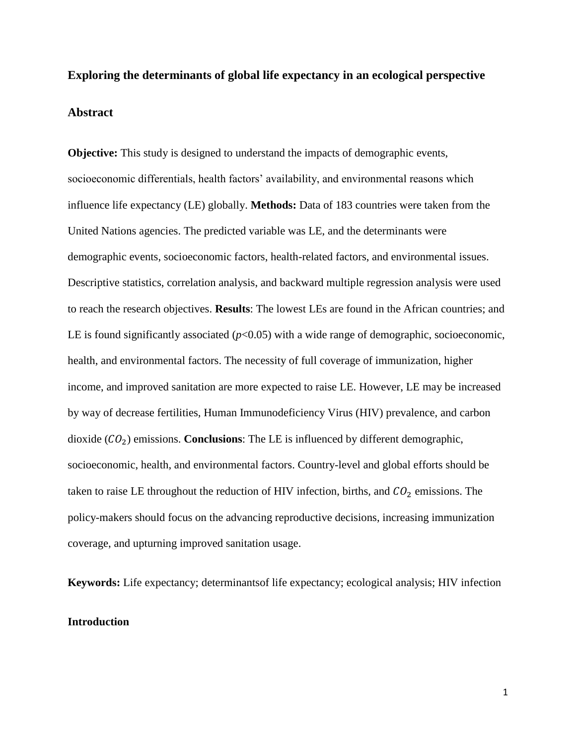# **Exploring the determinants of global life expectancy in an ecological perspective Abstract**

**Objective:** This study is designed to understand the impacts of demographic events, socioeconomic differentials, health factors' availability, and environmental reasons which influence life expectancy (LE) globally. **Methods:** Data of 183 countries were taken from the United Nations agencies. The predicted variable was LE, and the determinants were demographic events, socioeconomic factors, health-related factors, and environmental issues. Descriptive statistics, correlation analysis, and backward multiple regression analysis were used to reach the research objectives. **Results**: The lowest LEs are found in the African countries; and LE is found significantly associated  $(p<0.05)$  with a wide range of demographic, socioeconomic, health, and environmental factors. The necessity of full coverage of immunization, higher income, and improved sanitation are more expected to raise LE. However, LE may be increased by way of decrease fertilities, Human Immunodeficiency Virus (HIV) prevalence, and carbon dioxide  $(CO_2)$  emissions. **Conclusions**: The LE is influenced by different demographic, socioeconomic, health, and environmental factors. Country-level and global efforts should be taken to raise LE throughout the reduction of HIV infection, births, and  $CO<sub>2</sub>$  emissions. The policy-makers should focus on the advancing reproductive decisions, increasing immunization coverage, and upturning improved sanitation usage.

**Keywords:** Life expectancy; determinantsof life expectancy; ecological analysis; HIV infection

## **Introduction**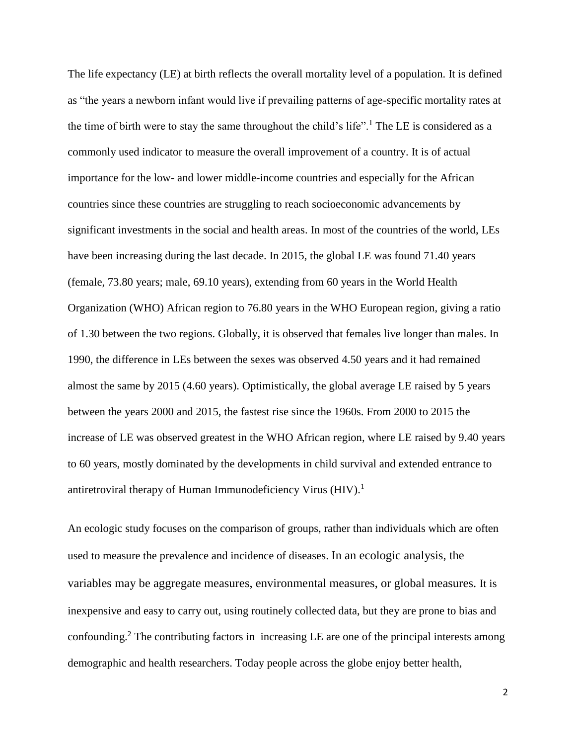The life expectancy (LE) at birth reflects the overall mortality level of a population. It is defined as "the years a newborn infant would live if prevailing patterns of age-specific mortality rates at the time of birth were to stay the same throughout the child's life".<sup>1</sup> The LE is considered as a commonly used indicator to measure the overall improvement of a country. It is of actual importance for the low- and lower middle-income countries and especially for the African countries since these countries are struggling to reach socioeconomic advancements by significant investments in the social and health areas. In most of the countries of the world, LEs have been increasing during the last decade. In 2015, the global LE was found 71.40 years (female, 73.80 years; male, 69.10 years), extending from 60 years in the World Health Organization (WHO) African region to 76.80 years in the WHO European region, giving a ratio of 1.30 between the two regions. Globally, it is observed that females live longer than males. In 1990, the difference in LEs between the sexes was observed 4.50 years and it had remained almost the same by 2015 (4.60 years). Optimistically, the global average LE raised by 5 years between the years 2000 and 2015, the fastest rise since the 1960s. From 2000 to 2015 the increase of LE was observed greatest in the WHO African region, where LE raised by 9.40 years to 60 years, mostly dominated by the developments in child survival and extended entrance to antiretroviral therapy of Human Immunodeficiency Virus  $(HIV).<sup>1</sup>$ 

An ecologic study focuses on the comparison of groups, rather than individuals which are often used to measure the prevalence and incidence of diseases. In an ecologic analysis, the variables may be aggregate measures, environmental measures, or global measures. It is inexpensive and easy to carry out, using routinely collected data, but they are prone to bias and confounding.<sup>2</sup> The contributing factors in increasing LE are one of the principal interests among demographic and health researchers. Today people across the globe enjoy better health,

2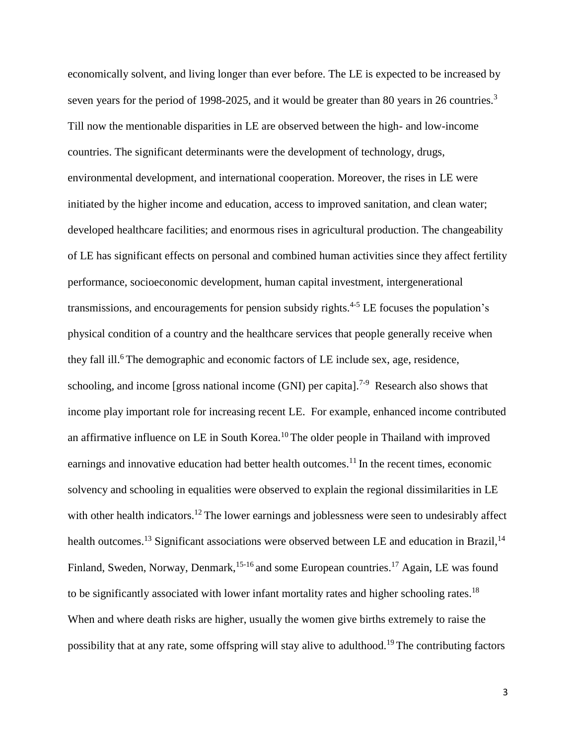economically solvent, and living longer than ever before. The LE is expected to be increased by seven years for the period of 1998-2025, and it would be greater than 80 years in 26 countries.<sup>3</sup> Till now the mentionable disparities in LE are observed between the high- and low-income countries. The significant determinants were the development of technology, drugs, environmental development, and international cooperation. Moreover, the rises in LE were initiated by the higher income and education, access to improved sanitation, and clean water; developed healthcare facilities; and enormous rises in agricultural production. The changeability of LE has significant effects on personal and combined human activities since they affect fertility performance, socioeconomic development, human capital investment, intergenerational transmissions, and encouragements for pension subsidy rights.<sup>4-5</sup> LE focuses the population's physical condition of a country and the healthcare services that people generally receive when they fall ill.<sup>6</sup> The demographic and economic factors of LE include sex, age, residence, schooling, and income [gross national income (GNI) per capita].<sup>7-9</sup> Research also shows that income play important role for increasing recent LE. For example, enhanced income contributed an affirmative influence on LE in South Korea.<sup>10</sup> The older people in Thailand with improved earnings and innovative education had better health outcomes.<sup>11</sup> In the recent times, economic solvency and schooling in equalities were observed to explain the regional dissimilarities in LE with other health indicators.<sup>12</sup> The lower earnings and joblessness were seen to undesirably affect health outcomes.<sup>13</sup> Significant associations were observed between LE and education in Brazil,<sup>14</sup> Finland, Sweden, Norway, Denmark,<sup>15-16</sup> and some European countries.<sup>17</sup> Again, LE was found to be significantly associated with lower infant mortality rates and higher schooling rates.<sup>18</sup> When and where death risks are higher, usually the women give births extremely to raise the possibility that at any rate, some offspring will stay alive to adulthood.<sup>19</sup> The contributing factors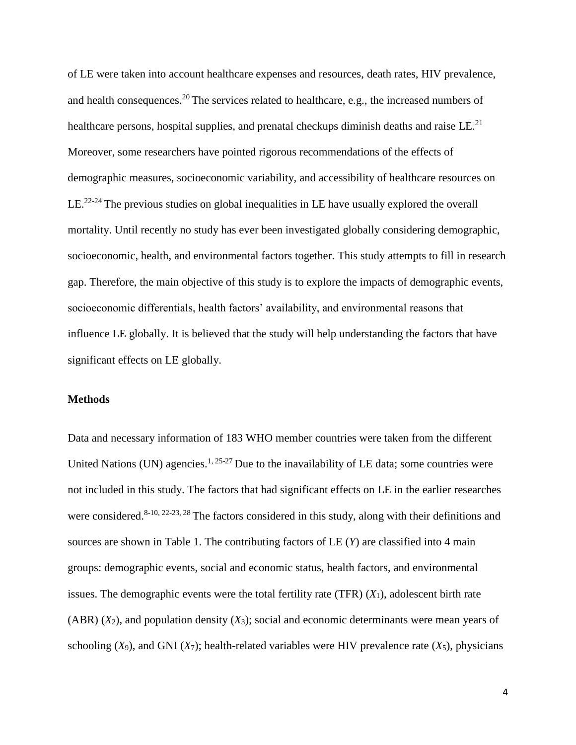of LE were taken into account healthcare expenses and resources, death rates, HIV prevalence, and health consequences.<sup>20</sup> The services related to healthcare, e.g., the increased numbers of healthcare persons, hospital supplies, and prenatal checkups diminish deaths and raise  $LE<sup>21</sup>$ . Moreover, some researchers have pointed rigorous recommendations of the effects of demographic measures, socioeconomic variability, and accessibility of healthcare resources on LE.<sup>22-24</sup> The previous studies on global inequalities in LE have usually explored the overall mortality. Until recently no study has ever been investigated globally considering demographic, socioeconomic, health, and environmental factors together. This study attempts to fill in research gap. Therefore, the main objective of this study is to explore the impacts of demographic events, socioeconomic differentials, health factors' availability, and environmental reasons that influence LE globally. It is believed that the study will help understanding the factors that have significant effects on LE globally.

## **Methods**

Data and necessary information of 183 WHO member countries were taken from the different United Nations (UN) agencies.<sup>1, 25-27</sup> Due to the inavailability of LE data; some countries were not included in this study. The factors that had significant effects on LE in the earlier researches were considered.<sup>8-10, 22-23, 28</sup> The factors considered in this study, along with their definitions and sources are shown in Table 1. The contributing factors of LE (*Y*) are classified into 4 main groups: demographic events, social and economic status, health factors, and environmental issues. The demographic events were the total fertility rate (TFR) (*X*1), adolescent birth rate (ABR) (*X*2), and population density (*X*3); social and economic determinants were mean years of schooling  $(X_9)$ , and GNI  $(X_7)$ ; health-related variables were HIV prevalence rate  $(X_5)$ , physicians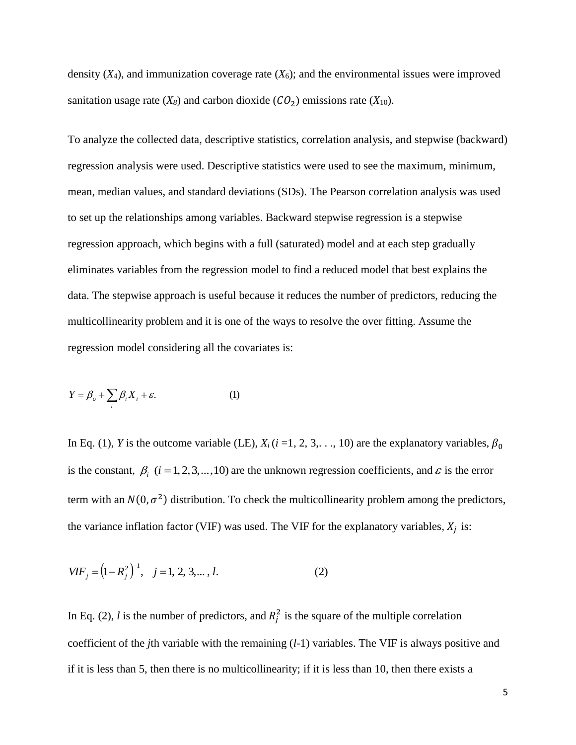density  $(X_4)$ , and immunization coverage rate  $(X_6)$ ; and the environmental issues were improved sanitation usage rate  $(X_8)$  and carbon dioxide  $(CO_2)$  emissions rate  $(X_{10})$ .

To analyze the collected data, descriptive statistics, correlation analysis, and stepwise (backward) regression analysis were used. Descriptive statistics were used to see the maximum, minimum, mean, median values, and standard deviations (SDs). The Pearson correlation analysis was used to set up the relationships among variables. Backward stepwise regression is a stepwise regression approach, which begins with a full (saturated) model and at each step gradually eliminates variables from the regression model to find a reduced model that best explains the data. The stepwise approach is useful because it reduces the number of predictors, reducing the multicollinearity problem and it is one of the ways to resolve the over fitting. Assume the regression model considering all the covariates is:

$$
Y = \beta_o + \sum_i \beta_i X_i + \varepsilon. \tag{1}
$$

In Eq. (1), *Y* is the outcome variable (LE),  $X_i$  ( $i = 1, 2, 3, \ldots, 10$ ) are the explanatory variables,  $\beta_0$ is the constant,  $\beta_i$  ( $i = 1, 2, 3, ..., 10$ ) are the unknown regression coefficients, and  $\varepsilon$  is the error term with an  $N(0, \sigma^2)$  distribution. To check the multicollinearity problem among the predictors, the variance inflation factor (VIF) was used. The VIF for the explanatory variables,  $X_j$  is:

$$
VIF_j = (1 - R_j^2)^{-1}, \quad j = 1, 2, 3, \dots, l.
$$
 (2)

In Eq. (2), *l* is the number of predictors, and  $R_j^2$  is the square of the multiple correlation coefficient of the *j*th variable with the remaining (*l*-1) variables. The VIF is always positive and if it is less than 5, then there is no multicollinearity; if it is less than 10, then there exists a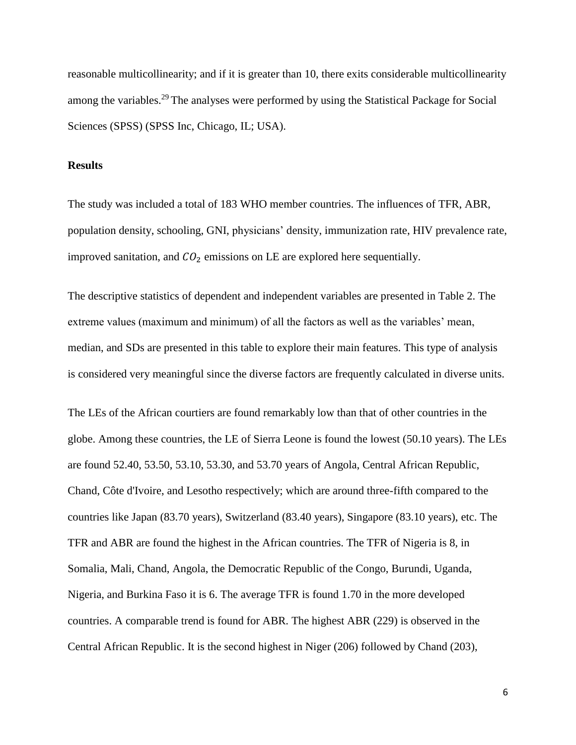reasonable multicollinearity; and if it is greater than 10, there exits considerable multicollinearity among the variables.<sup>29</sup> The analyses were performed by using the Statistical Package for Social Sciences (SPSS) (SPSS Inc, Chicago, IL; USA).

## **Results**

The study was included a total of 183 WHO member countries. The influences of TFR, ABR, population density, schooling, GNI, physicians' density, immunization rate, HIV prevalence rate, improved sanitation, and  $CO<sub>2</sub>$  emissions on LE are explored here sequentially.

The descriptive statistics of dependent and independent variables are presented in Table 2. The extreme values (maximum and minimum) of all the factors as well as the variables' mean, median, and SDs are presented in this table to explore their main features. This type of analysis is considered very meaningful since the diverse factors are frequently calculated in diverse units.

The LEs of the African courtiers are found remarkably low than that of other countries in the globe. Among these countries, the LE of Sierra Leone is found the lowest (50.10 years). The LEs are found 52.40, 53.50, 53.10, 53.30, and 53.70 years of Angola, Central African Republic, Chand, Côte d'Ivoire, and Lesotho respectively; which are around three-fifth compared to the countries like Japan (83.70 years), Switzerland (83.40 years), Singapore (83.10 years), etc. The TFR and ABR are found the highest in the African countries. The TFR of Nigeria is 8, in Somalia, Mali, Chand, Angola, the Democratic Republic of the Congo, Burundi, Uganda, Nigeria, and Burkina Faso it is 6. The average TFR is found 1.70 in the more developed countries. A comparable trend is found for ABR. The highest ABR (229) is observed in the Central African Republic. It is the second highest in Niger (206) followed by Chand (203),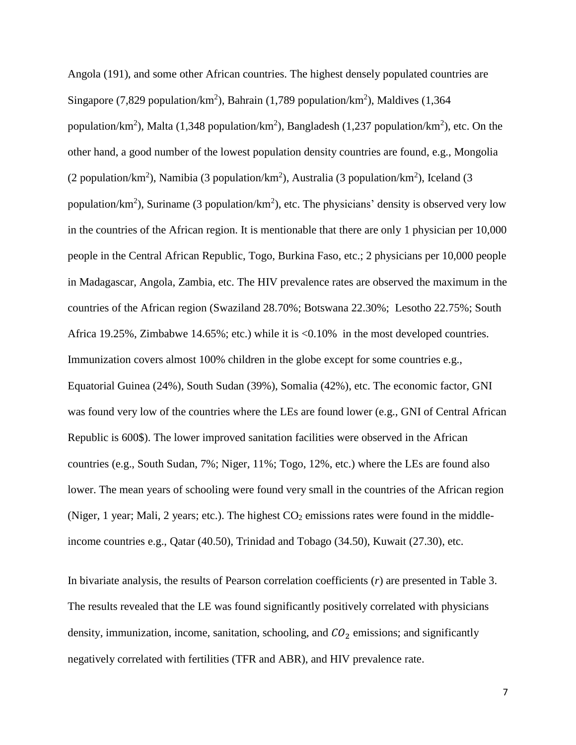Angola (191), and some other African countries. The highest densely populated countries are Singapore (7,829 population/km<sup>2</sup>), Bahrain (1,789 population/km<sup>2</sup>), Maldives (1,364 population/km<sup>2</sup>), Malta (1,348 population/km<sup>2</sup>), Bangladesh (1,237 population/km<sup>2</sup>), etc. On the other hand, a good number of the lowest population density countries are found, e.g., Mongolia (2 population/km<sup>2</sup>), Namibia (3 population/km<sup>2</sup>), Australia (3 population/km<sup>2</sup>), Iceland (3 population/ $km^2$ ), Suriname (3 population/ $km^2$ ), etc. The physicians' density is observed very low in the countries of the African region. It is mentionable that there are only 1 physician per 10,000 people in the Central African Republic, Togo, Burkina Faso, etc.; 2 physicians per 10,000 people in Madagascar, Angola, Zambia, etc. The HIV prevalence rates are observed the maximum in the countries of the African region (Swaziland 28.70%; Botswana 22.30%; Lesotho 22.75%; South Africa 19.25%, Zimbabwe 14.65%; etc.) while it is <0.10% in the most developed countries. Immunization covers almost 100% children in the globe except for some countries e.g., Equatorial Guinea (24%), South Sudan (39%), Somalia (42%), etc. The economic factor, GNI was found very low of the countries where the LEs are found lower (e.g., GNI of Central African Republic is 600\$). The lower improved sanitation facilities were observed in the African countries (e.g., South Sudan, 7%; Niger, 11%; Togo, 12%, etc.) where the LEs are found also lower. The mean years of schooling were found very small in the countries of the African region (Niger, 1 year; Mali, 2 years; etc.). The highest  $CO<sub>2</sub>$  emissions rates were found in the middleincome countries e.g., Qatar (40.50), Trinidad and Tobago (34.50), Kuwait (27.30), etc.

In bivariate analysis, the results of Pearson correlation coefficients (*r*) are presented in Table 3. The results revealed that the LE was found significantly positively correlated with physicians density, immunization, income, sanitation, schooling, and  $CO<sub>2</sub>$  emissions; and significantly negatively correlated with fertilities (TFR and ABR), and HIV prevalence rate.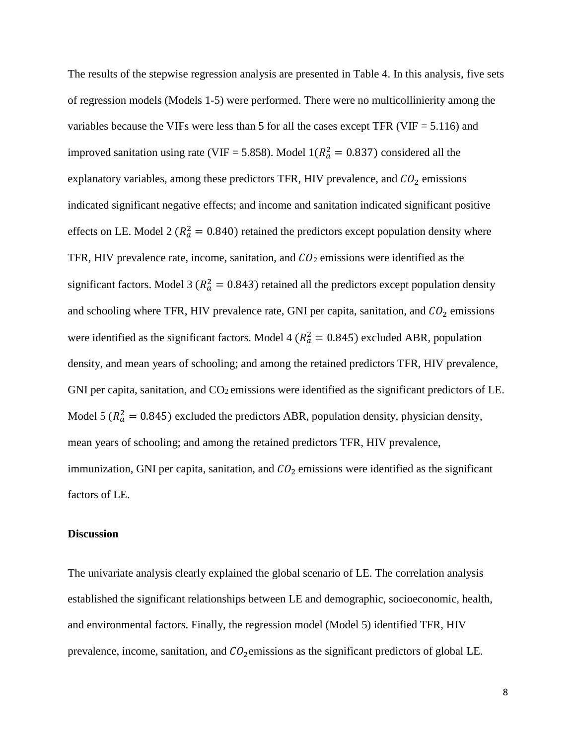The results of the stepwise regression analysis are presented in Table 4. In this analysis, five sets of regression models (Models 1-5) were performed. There were no multicollinierity among the variables because the VIFs were less than 5 for all the cases except TFR (VIF  $= 5.116$ ) and improved sanitation using rate (VIF = 5.858). Model  $1(R_a^2 = 0.837)$  considered all the explanatory variables, among these predictors TFR, HIV prevalence, and  $CO<sub>2</sub>$  emissions indicated significant negative effects; and income and sanitation indicated significant positive effects on LE. Model 2 ( $R_a^2 = 0.840$ ) retained the predictors except population density where TFR, HIV prevalence rate, income, sanitation, and  $CO<sub>2</sub>$  emissions were identified as the significant factors. Model 3 ( $R_a^2 = 0.843$ ) retained all the predictors except population density and schooling where TFR, HIV prevalence rate, GNI per capita, sanitation, and  $CO_2$  emissions were identified as the significant factors. Model 4 ( $R_a^2 = 0.845$ ) excluded ABR, population density, and mean years of schooling; and among the retained predictors TFR, HIV prevalence, GNI per capita, sanitation, and  $CO<sub>2</sub>$  emissions were identified as the significant predictors of LE. Model 5 ( $R_a^2 = 0.845$ ) excluded the predictors ABR, population density, physician density, mean years of schooling; and among the retained predictors TFR, HIV prevalence, immunization, GNI per capita, sanitation, and  $CO<sub>2</sub>$  emissions were identified as the significant factors of LE.

#### **Discussion**

The univariate analysis clearly explained the global scenario of LE. The correlation analysis established the significant relationships between LE and demographic, socioeconomic, health, and environmental factors. Finally, the regression model (Model 5) identified TFR, HIV prevalence, income, sanitation, and  $CO_2$ emissions as the significant predictors of global LE.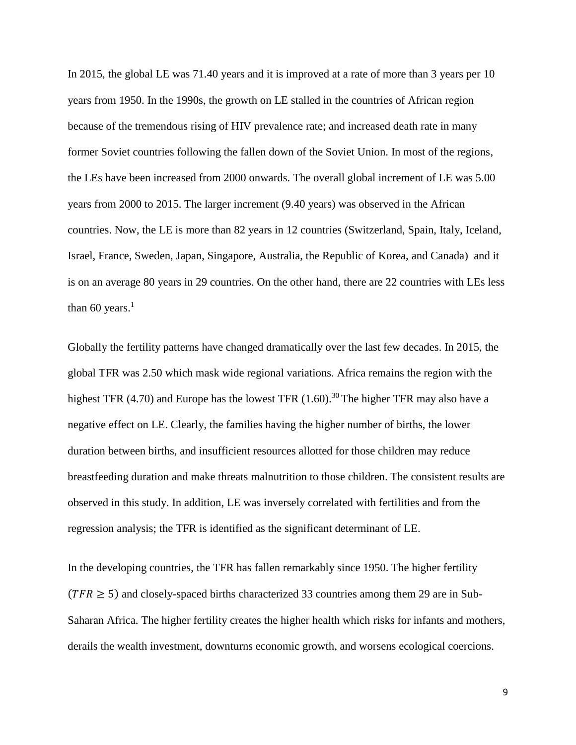In 2015, the global LE was 71.40 years and it is improved at a rate of more than 3 years per 10 years from 1950. In the 1990s, the growth on LE stalled in the countries of African region because of the tremendous rising of HIV prevalence rate; and increased death rate in many former Soviet countries following the fallen down of the Soviet Union. In most of the regions, the LEs have been increased from 2000 onwards. The overall global increment of LE was 5.00 years from 2000 to 2015. The larger increment (9.40 years) was observed in the African countries. Now, the LE is more than 82 years in 12 countries (Switzerland, Spain, Italy, Iceland, Israel, France, Sweden, Japan, Singapore, Australia, the Republic of Korea, and Canada) and it is on an average 80 years in 29 countries. On the other hand, there are 22 countries with LEs less than 60 years. $<sup>1</sup>$ </sup>

Globally the fertility patterns have changed dramatically over the last few decades. In 2015, the global TFR was 2.50 which mask wide regional variations. Africa remains the region with the highest TFR (4.70) and Europe has the lowest TFR (1.60).<sup>30</sup> The higher TFR may also have a negative effect on LE. Clearly, the families having the higher number of births, the lower duration between births, and insufficient resources allotted for those children may reduce breastfeeding duration and make threats malnutrition to those children. The consistent results are observed in this study. In addition, LE was inversely correlated with fertilities and from the regression analysis; the TFR is identified as the significant determinant of LE.

In the developing countries, the TFR has fallen remarkably since 1950. The higher fertility  $(TFR \ge 5)$  and closely-spaced births characterized 33 countries among them 29 are in Sub-Saharan Africa. The higher fertility creates the higher health which risks for infants and mothers, derails the wealth investment, downturns economic growth, and worsens ecological coercions.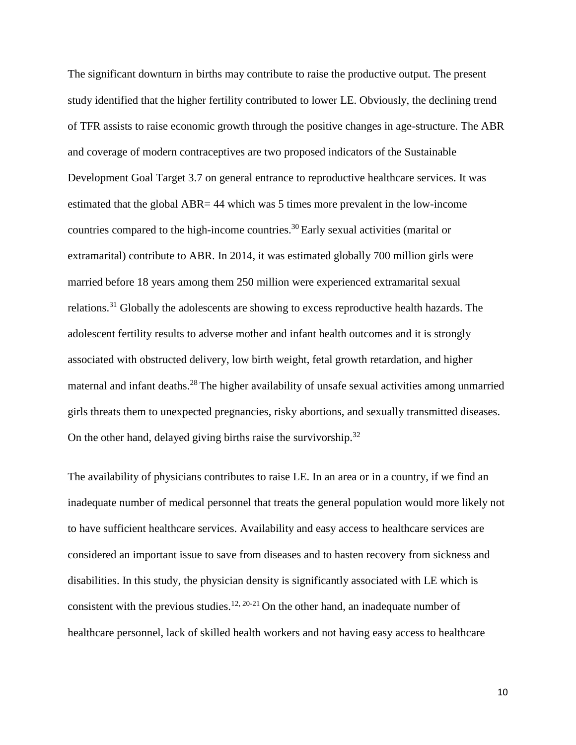The significant downturn in births may contribute to raise the productive output. The present study identified that the higher fertility contributed to lower LE. Obviously, the declining trend of TFR assists to raise economic growth through the positive changes in age-structure. The ABR and coverage of modern contraceptives are two proposed indicators of the Sustainable Development Goal Target 3.7 on general entrance to reproductive healthcare services. It was estimated that the global ABR= 44 which was 5 times more prevalent in the low-income countries compared to the high-income countries.<sup>30</sup> Early sexual activities (marital or extramarital) contribute to ABR. In 2014, it was estimated globally 700 million girls were married before 18 years among them 250 million were experienced extramarital sexual relations.<sup>31</sup> Globally the adolescents are showing to excess reproductive health hazards. The adolescent fertility results to adverse mother and infant health outcomes and it is strongly associated with obstructed delivery, low birth weight, fetal growth retardation, and higher maternal and infant deaths.<sup>28</sup> The higher availability of unsafe sexual activities among unmarried girls threats them to unexpected pregnancies, risky abortions, and sexually transmitted diseases. On the other hand, delayed giving births raise the survivorship.<sup>32</sup>

The availability of physicians contributes to raise LE. In an area or in a country, if we find an inadequate number of medical personnel that treats the general population would more likely not to have sufficient healthcare services. Availability and easy access to healthcare services are considered an important issue to save from diseases and to hasten recovery from sickness and disabilities. In this study, the physician density is significantly associated with LE which is consistent with the previous studies.<sup>12, 20-21</sup> On the other hand, an inadequate number of healthcare personnel, lack of skilled health workers and not having easy access to healthcare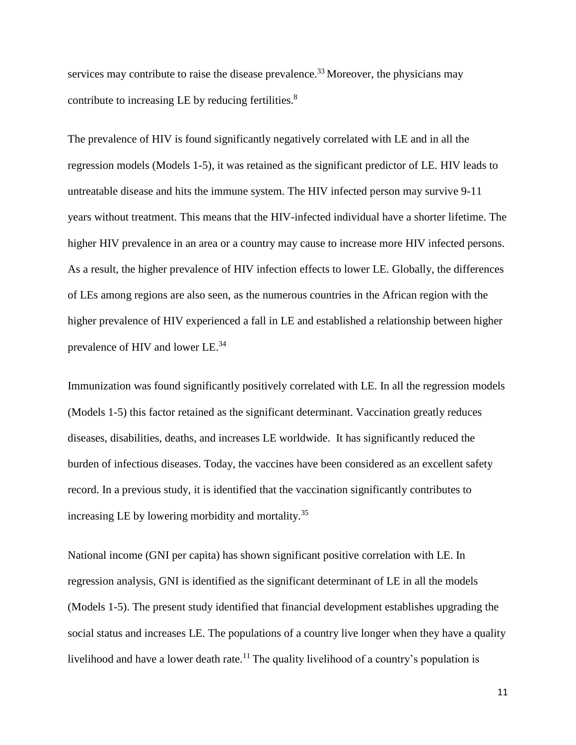services may contribute to raise the disease prevalence.<sup>33</sup> Moreover, the physicians may contribute to increasing LE by reducing fertilities.<sup>8</sup>

The prevalence of HIV is found significantly negatively correlated with LE and in all the regression models (Models 1-5), it was retained as the significant predictor of LE. HIV leads to untreatable disease and hits the immune system. The HIV infected person may survive 9-11 years without treatment. This means that the HIV-infected individual have a shorter lifetime. The higher HIV prevalence in an area or a country may cause to increase more HIV infected persons. As a result, the higher prevalence of HIV infection effects to lower LE. Globally, the differences of LEs among regions are also seen, as the numerous countries in the African region with the higher prevalence of HIV experienced a fall in LE and established a relationship between higher prevalence of HIV and lower LE.<sup>34</sup>

Immunization was found significantly positively correlated with LE. In all the regression models (Models 1-5) this factor retained as the significant determinant. Vaccination greatly reduces diseases, disabilities, deaths, and increases LE worldwide. It has significantly reduced the burden of infectious diseases. Today, the vaccines have been considered as an excellent safety record. In a previous study, it is identified that the vaccination significantly contributes to increasing LE by lowering morbidity and mortality.<sup>35</sup>

National income (GNI per capita) has shown significant positive correlation with LE. In regression analysis, GNI is identified as the significant determinant of LE in all the models (Models 1-5). The present study identified that financial development establishes upgrading the social status and increases LE. The populations of a country live longer when they have a quality livelihood and have a lower death rate.<sup>11</sup> The quality livelihood of a country's population is

11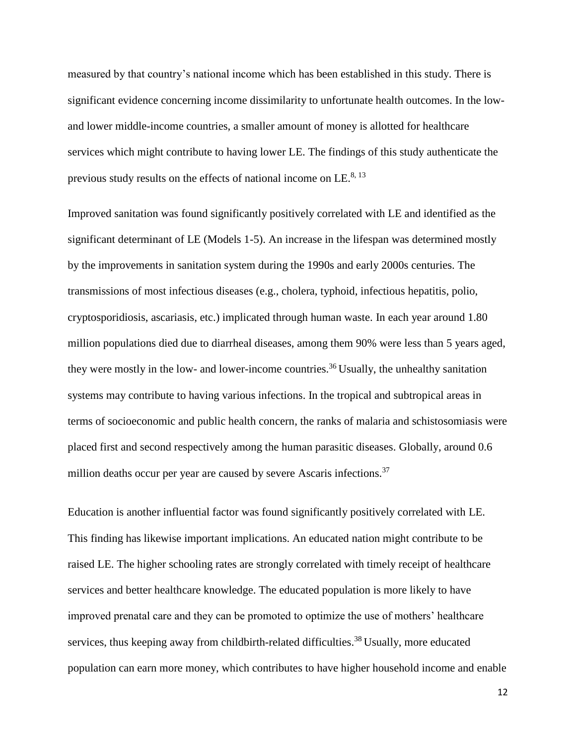measured by that country's national income which has been established in this study. There is significant evidence concerning income dissimilarity to unfortunate health outcomes. In the lowand lower middle-income countries, a smaller amount of money is allotted for healthcare services which might contribute to having lower LE. The findings of this study authenticate the previous study results on the effects of national income on LE. $^{8, 13}$ 

Improved sanitation was found significantly positively correlated with LE and identified as the significant determinant of LE (Models 1-5). An increase in the lifespan was determined mostly by the improvements in sanitation system during the 1990s and early 2000s centuries. The transmissions of most infectious diseases (e.g., cholera, typhoid, infectious hepatitis, polio, cryptosporidiosis, ascariasis, etc.) implicated through human waste. In each year around 1.80 million populations died due to diarrheal diseases, among them 90% were less than 5 years aged, they were mostly in the low- and lower-income countries.<sup>36</sup> Usually, the unhealthy sanitation systems may contribute to having various infections. In the tropical and subtropical areas in terms of socioeconomic and public health concern, the ranks of malaria and schistosomiasis were placed first and second respectively among the human parasitic diseases. Globally, around 0.6 million deaths occur per year are caused by severe Ascaris infections.<sup>37</sup>

Education is another influential factor was found significantly positively correlated with LE. This finding has likewise important implications. An educated nation might contribute to be raised LE. The higher schooling rates are strongly correlated with timely receipt of healthcare services and better healthcare knowledge. The educated population is more likely to have improved prenatal care and they can be promoted to optimize the use of mothers' healthcare services, thus keeping away from childbirth-related difficulties.<sup>38</sup> Usually, more educated population can earn more money, which contributes to have higher household income and enable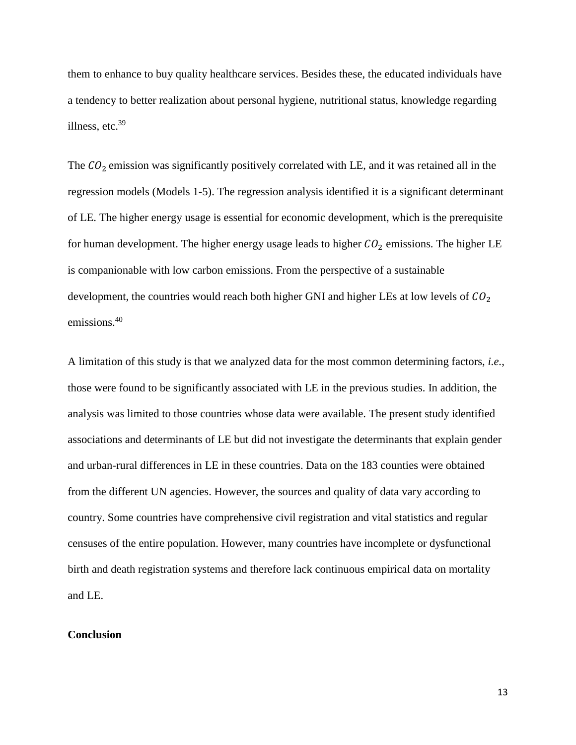them to enhance to buy quality healthcare services. Besides these, the educated individuals have a tendency to better realization about personal hygiene, nutritional status, knowledge regarding illness, etc.<sup>39</sup>

The  $CO<sub>2</sub>$  emission was significantly positively correlated with LE, and it was retained all in the regression models (Models 1-5). The regression analysis identified it is a significant determinant of LE. The higher energy usage is essential for economic development, which is the prerequisite for human development. The higher energy usage leads to higher  $CO<sub>2</sub>$  emissions. The higher LE is companionable with low carbon emissions. From the perspective of a sustainable development, the countries would reach both higher GNI and higher LEs at low levels of  $CO<sub>2</sub>$ emissions.<sup>40</sup>

A limitation of this study is that we analyzed data for the most common determining factors, *i.e.*, those were found to be significantly associated with LE in the previous studies. In addition, the analysis was limited to those countries whose data were available. The present study identified associations and determinants of LE but did not investigate the determinants that explain gender and urban-rural differences in LE in these countries. Data on the 183 counties were obtained from the different UN agencies. However, the sources and quality of data vary according to country. Some countries have comprehensive civil registration and vital statistics and regular censuses of the entire population. However, many countries have incomplete or dysfunctional birth and death registration systems and therefore lack continuous empirical data on mortality and LE.

#### **Conclusion**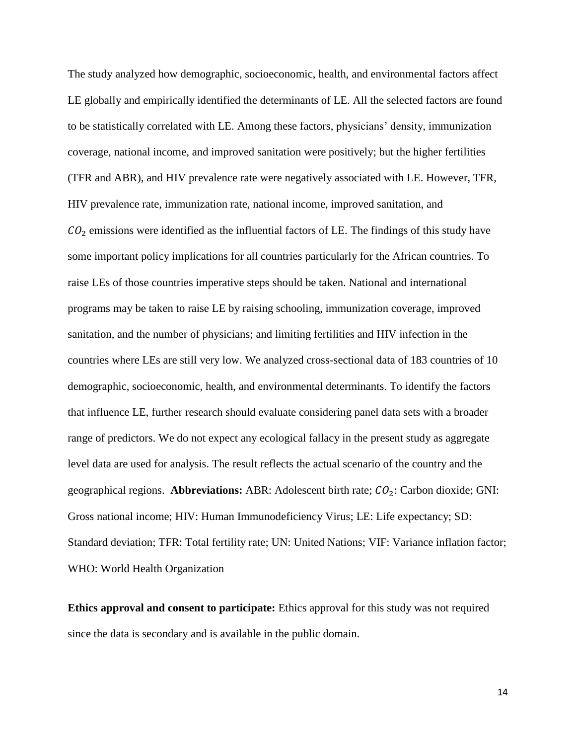The study analyzed how demographic, socioeconomic, health, and environmental factors affect LE globally and empirically identified the determinants of LE. All the selected factors are found to be statistically correlated with LE. Among these factors, physicians' density, immunization coverage, national income, and improved sanitation were positively; but the higher fertilities (TFR and ABR), and HIV prevalence rate were negatively associated with LE. However, TFR, HIV prevalence rate, immunization rate, national income, improved sanitation, and  $CO<sub>2</sub>$  emissions were identified as the influential factors of LE. The findings of this study have some important policy implications for all countries particularly for the African countries. To raise LEs of those countries imperative steps should be taken. National and international programs may be taken to raise LE by raising schooling, immunization coverage, improved sanitation, and the number of physicians; and limiting fertilities and HIV infection in the countries where LEs are still very low. We analyzed cross-sectional data of 183 countries of 10 demographic, socioeconomic, health, and environmental determinants. To identify the factors that influence LE, further research should evaluate considering panel data sets with a broader range of predictors. We do not expect any ecological fallacy in the present study as aggregate level data are used for analysis. The result reflects the actual scenario of the country and the geographical regions. Abbreviations: ABR: Adolescent birth rate;  $CO_2$ : Carbon dioxide; GNI: Gross national income; HIV: Human Immunodeficiency Virus; LE: Life expectancy; SD: Standard deviation; TFR: Total fertility rate; UN: United Nations; VIF: Variance inflation factor; WHO: World Health Organization

**Ethics approval and consent to participate:** Ethics approval for this study was not required since the data is secondary and is available in the public domain.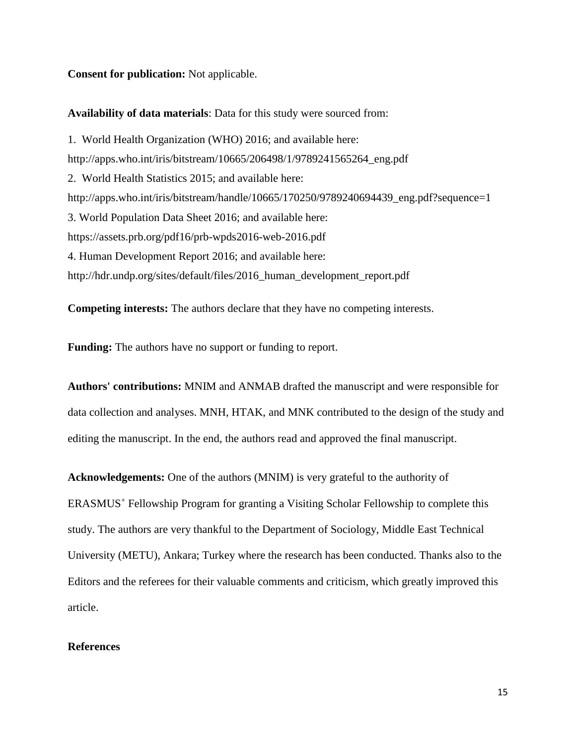#### **Consent for publication:** Not applicable.

#### **Availability of data materials**: Data for this study were sourced from:

1. World Health Organization (WHO) 2016; and available here: [http://apps.who.int/iris/bitstream/10665/206498/1/9789241565264\\_eng.pdf](http://apps.who.int/iris/bitstream/10665/206498/1/9789241565264_eng.pdf) 2. World Health Statistics 2015; and available here: http://apps.who.int/iris/bitstream/handle/10665/170250/9789240694439\_eng.pdf?sequence=1 3. World Population Data Sheet 2016; and available here: https://assets.prb.org/pdf16/prb-wpds2016-web-2016.pdf 4. Human Development Report 2016; and available here: http://hdr.undp.org/sites/default/files/2016\_human\_development\_report.pdf

**Competing interests:** The authors declare that they have no competing interests.

**Funding:** The authors have no support or funding to report.

**Authors' contributions:** MNIM and ANMAB drafted the manuscript and were responsible for data collection and analyses. MNH, HTAK, and MNK contributed to the design of the study and editing the manuscript. In the end, the authors read and approved the final manuscript.

**Acknowledgements:** One of the authors (MNIM) is very grateful to the authority of ERASMUS<sup>+</sup> Fellowship Program for granting a Visiting Scholar Fellowship to complete this study. The authors are very thankful to the Department of Sociology, Middle East Technical University (METU), Ankara; Turkey where the research has been conducted. Thanks also to the Editors and the referees for their valuable comments and criticism, which greatly improved this article.

### **References**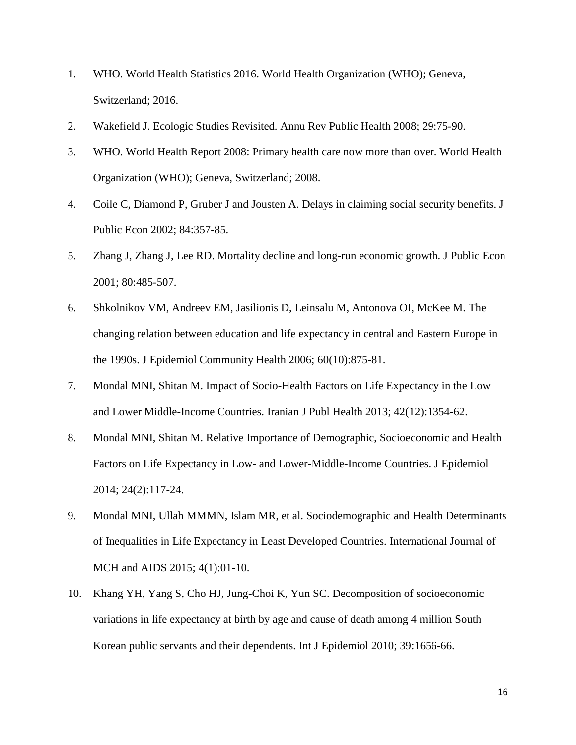- 1. WHO. World Health Statistics 2016. World Health Organization (WHO); Geneva, Switzerland; 2016.
- 2. Wakefield J. Ecologic Studies Revisited. Annu Rev Public Health 2008; 29:75-90.
- 3. WHO. World Health Report 2008: Primary health care now more than over. World Health Organization (WHO); Geneva, Switzerland; 2008.
- 4. Coile C, Diamond P, Gruber J and Jousten A. Delays in claiming social security benefits. J Public Econ 2002; 84:357-85.
- 5. Zhang J, Zhang J, Lee RD. Mortality decline and long-run economic growth. J Public Econ 2001; 80:485-507.
- 6. Shkolnikov VM, Andreev EM, Jasilionis D, Leinsalu M, Antonova OI, McKee M. The changing relation between education and life expectancy in central and Eastern Europe in the 1990s. J Epidemiol Community Health 2006; 60(10):875-81.
- 7. Mondal MNI, Shitan M. Impact of Socio-Health Factors on Life Expectancy in the Low and Lower Middle-Income Countries. Iranian J Publ Health 2013; 42(12):1354-62.
- 8. Mondal MNI, Shitan M. Relative Importance of Demographic, Socioeconomic and Health Factors on Life Expectancy in Low- and Lower-Middle-Income Countries. [J Epidemiol](https://www.ncbi.nlm.nih.gov/pmc/articles/PMC3956691/) 2014; 24(2):117-24.
- 9. Mondal MNI, Ullah MMMN, Islam MR, et al. Sociodemographic and Health Determinants of Inequalities in Life Expectancy in Least Developed Countries. International Journal of MCH and AIDS 2015; 4(1):01-10.
- 10. Khang YH, Yang S, Cho HJ, Jung-Choi K, Yun SC. Decomposition of socioeconomic variations in life expectancy at birth by age and cause of death among 4 million South Korean public servants and their dependents. Int J Epidemiol 2010; 39:1656-66.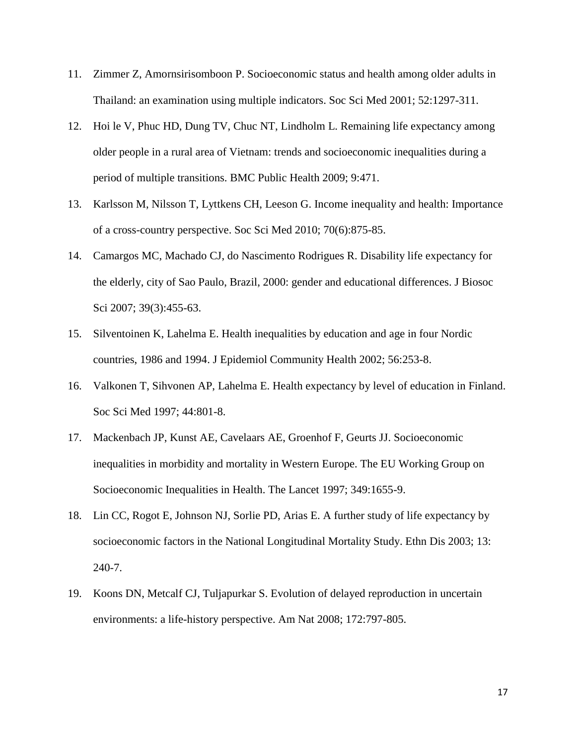- 11. Zimmer Z, Amornsirisomboon P. Socioeconomic status and health among older adults in Thailand: an examination using multiple indicators. Soc Sci Med 2001; 52:1297-311.
- 12. Hoi le V, Phuc HD, Dung TV, Chuc NT, Lindholm L. Remaining life expectancy among older people in a rural area of Vietnam: trends and socioeconomic inequalities during a period of multiple transitions. BMC Public Health 2009; 9:471.
- 13. Karlsson M, Nilsson T, Lyttkens CH, Leeson G. Income inequality and health: Importance of a cross-country perspective. Soc Sci Med 2010; 70(6):875-85.
- 14. Camargos MC, Machado CJ, do Nascimento Rodrigues R. Disability life expectancy for the elderly, city of Sao Paulo, Brazil, 2000: gender and educational differences. J Biosoc Sci 2007; 39(3):455-63.
- 15. Silventoinen K, Lahelma E. Health inequalities by education and age in four Nordic countries, 1986 and 1994. J Epidemiol Community Health 2002; 56:253-8.
- 16. Valkonen T, Sihvonen AP, Lahelma E. Health expectancy by level of education in Finland. Soc Sci Med 1997; 44:801-8.
- 17. Mackenbach JP, Kunst AE, Cavelaars AE, Groenhof F, Geurts JJ. Socioeconomic inequalities in morbidity and mortality in Western Europe. The EU Working Group on Socioeconomic Inequalities in Health. The Lancet 1997; 349:1655-9.
- 18. Lin CC, Rogot E, Johnson NJ, Sorlie PD, Arias E. A further study of life expectancy by socioeconomic factors in the National Longitudinal Mortality Study. Ethn Dis 2003; 13: 240-7.
- 19. Koons DN, Metcalf CJ, Tuljapurkar S. Evolution of delayed reproduction in uncertain environments: a life-history perspective. Am Nat 2008; 172:797-805.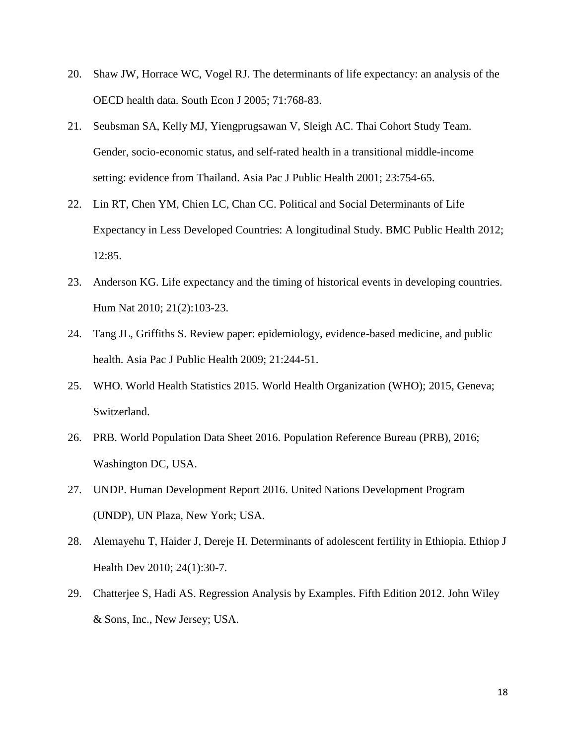- 20. Shaw JW, Horrace WC, Vogel RJ. The determinants of life expectancy: an analysis of the OECD health data. South Econ J 2005; 71:768-83.
- 21. Seubsman SA, Kelly MJ, Yiengprugsawan V, Sleigh AC. Thai Cohort Study Team. Gender, socio-economic status, and self-rated health in a transitional middle-income setting: evidence from Thailand. Asia Pac J Public Health 2001; 23:754-65.
- 22. Lin RT, Chen YM, Chien LC, Chan CC. Political and Social Determinants of Life Expectancy in Less Developed Countries: A longitudinal Study. BMC Public Health 2012; 12:85.
- 23. Anderson KG. Life expectancy and the timing of historical events in developing countries. Hum Nat 2010; 21(2):103-23.
- 24. Tang JL, Griffiths S. Review paper: epidemiology, evidence-based medicine, and public health. Asia Pac J Public Health 2009; 21:244-51.
- 25. WHO. World Health Statistics 2015. World Health Organization (WHO); 2015, Geneva; Switzerland.
- 26. PRB. World Population Data Sheet 2016. Population Reference Bureau (PRB), 2016; Washington DC, USA.
- 27. UNDP. Human Development Report 2016. United Nations Development Program (UNDP), UN Plaza, New York; USA.
- 28. Alemayehu T, Haider J, Dereje H. Determinants of adolescent fertility in Ethiopia. Ethiop J Health Dev 2010; 24(1):30-7.
- 29. Chatterjee S, Hadi AS. Regression Analysis by Examples. Fifth Edition 2012. John Wiley & Sons, Inc., New Jersey; USA.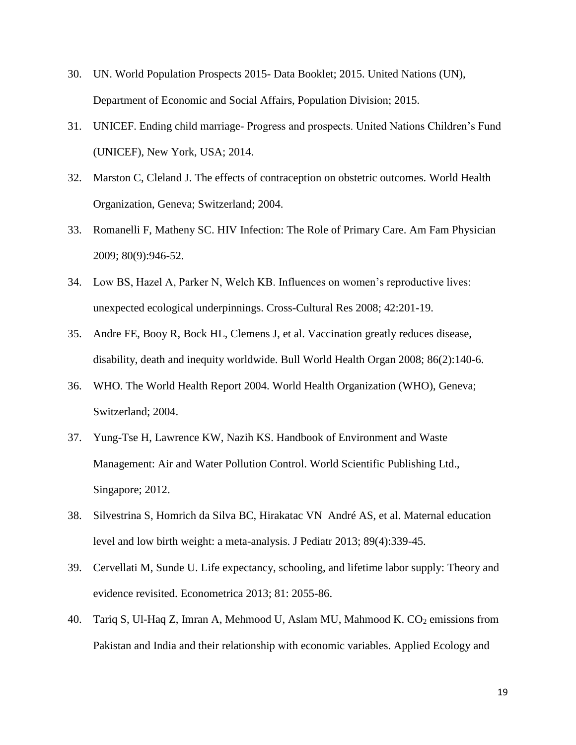- 30. UN. World Population Prospects 2015- Data Booklet; 2015. United Nations (UN), Department of Economic and Social Affairs, Population Division; 2015.
- 31. UNICEF. Ending child marriage- Progress and prospects. United Nations Children's Fund (UNICEF), New York, USA; 2014.
- 32. Marston C, Cleland J. The effects of contraception on obstetric outcomes. World Health Organization, Geneva; Switzerland; 2004.
- 33. Romanelli F, Matheny SC. HIV Infection: The Role of Primary Care. Am Fam Physician 2009; 80(9):946-52.
- 34. Low BS, Hazel A, Parker N, Welch KB. Influences on women's reproductive lives: unexpected ecological underpinnings. Cross-Cultural Res 2008; 42:201-19.
- 35. Andre FE, Booy R, Bock HL, Clemens J, et al. Vaccination greatly reduces disease, disability, death and inequity worldwide. Bull World Health Organ 2008; 86(2):140-6.
- 36. WHO. The World Health Report 2004. World Health Organization (WHO), Geneva; Switzerland; 2004.
- 37. Yung-Tse H, Lawrence KW, Nazih KS. Handbook of Environment and Waste Management: Air and Water Pollution Control. World Scientific Publishing Ltd., Singapore; 2012.
- 38. Silvestrina S, Homrich da Silva BC, Hirakatac VN André AS, et al. Maternal education level and low birth weight: a meta-analysis. J Pediatr 2013; 89(4):339-45.
- 39. Cervellati M, Sunde U. Life expectancy, schooling, and lifetime labor supply: Theory and evidence revisited. Econometrica 2013; 81: 2055-86.
- 40. Tariq S, Ul-Haq Z, Imran A, Mehmood U, Aslam MU, Mahmood K. CO<sub>2</sub> emissions from Pakistan and India and their relationship with economic variables. Applied Ecology and